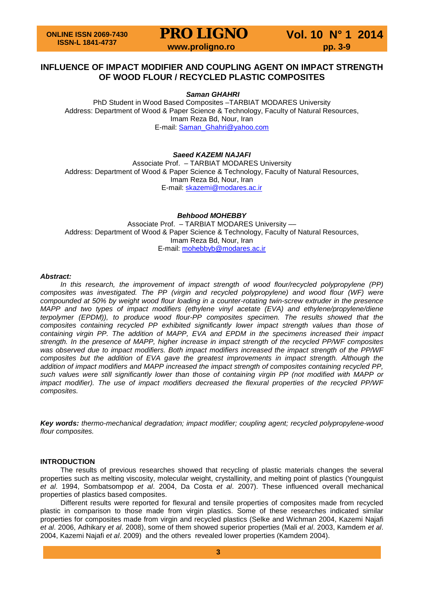**PRO LIGNO** Vol. 10 N° 1 2014<br>www.proligno.ro pp. 3-9

# **INFLUENCE OF IMPACT MODIFIER AND COUPLING AGENT ON IMPACT STRENGTH OF WOOD FLOUR / RECYCLED PLASTIC COMPOSITES**

*Saman GHAHRI*

PhD Student in Wood Based Composites –TARBIAT MODARES University Address: Department of Wood & Paper Science & Technology, Faculty of Natural Resources, Imam Reza Bd, Nour, Iran E-mail: [Saman\\_Ghahri@yahoo.com](mailto:Saman_Ghahri@yahoo.com)

## *Saeed KAZEMI NAJAFI*

Associate Prof. – TARBIAT MODARES University Address: Department of Wood & Paper Science & Technology, Faculty of Natural Resources, Imam Reza Bd, Nour, Iran E-mail: [skazemi@modares.ac.ir](mailto:skazemi@modares.ac.ir)

## *Behbood MOHEBBY*

Associate Prof. – TARBIAT MODARES University –– Address: Department of Wood & Paper Science & Technology, Faculty of Natural Resources, Imam Reza Bd, Nour, Iran E-mail: [mohebbyb@modares.ac.ir](mailto:mohebbyb@modares.ac.ir)

### *Abstract:*

*In this research, the improvement of impact strength of wood flour/recycled polypropylene (PP) composites was investigated. The PP (virgin and recycled polypropylene) and wood flour (WF) were compounded at 50% by weight wood flour loading in a counter-rotating twin-screw extruder in the presence MAPP and two types of impact modifiers (ethylene vinyl acetate (EVA) and ethylene/propylene/diene terpolymer (EPDM)), to produce wood flour-PP composites specimen. The results showed that the composites containing recycled PP exhibited significantly lower impact strength values than those of containing virgin PP. The addition of MAPP, EVA and EPDM in the specimens increased their impact strength. In the presence of MAPP, higher increase in impact strength of the recycled PP/WF composites was observed due to impact modifiers. Both impact modifiers increased the impact strength of the PP/WF composites but the addition of EVA gave the greatest improvements in impact strength. Although the addition of impact modifiers and MAPP increased the impact strength of composites containing recycled PP, such values were still significantly lower than those of containing virgin PP (not modified with MAPP or impact modifier). The use of impact modifiers decreased the flexural properties of the recycled PP/WF composites.*

*Key words: thermo-mechanical degradation; impact modifier; coupling agent; recycled polypropylene-wood flour composites.*

### **INTRODUCTION**

The results of previous researches showed that recycling of plastic materials changes the several properties such as melting viscosity, molecular weight, crystallinity, and melting point of plastics (Youngquist *et al*. 1994, Sombatsompop *et al*. 2004, Da Costa *et al*. 2007). These influenced overall mechanical properties of plastics based composites.

Different results were reported for flexural and tensile properties of composites made from recycled plastic in comparison to those made from virgin plastics. Some of these researches indicated similar properties for composites made from virgin and recycled plastics (Selke and Wichman 2004, Kazemi Najafi *et al*. 2006, Adhikary *et al*. 2008), some of them showed superior properties (Mali *et al*. 2003, Kamdem *et al*. 2004, Kazemi Najafi *et al*. 2009) and the others revealed lower properties (Kamdem 2004).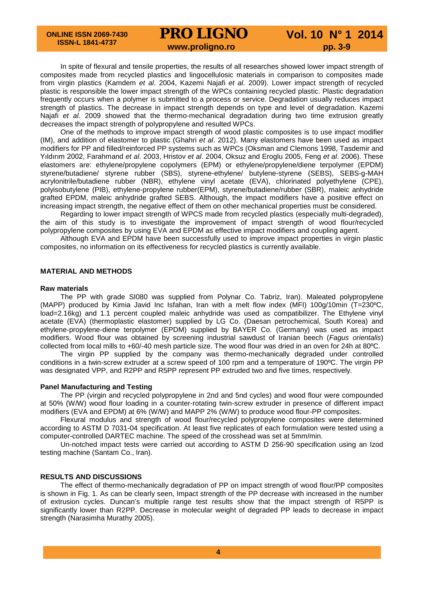**ONLINE ISSN 2069-7430 ISSN-L 1841-4737**

**PRO LIGNO** Vol. 10 N° 1 2014

In spite of flexural and tensile properties, the results of all researches showed lower impact strength of composites made from recycled plastics and lingocellulosic materials in comparison to composites made from virgin plastics (Kamdem *et al*. 2004, Kazemi Najafi *et al*. 2009). Lower impact strength of recycled plastic is responsible the lower impact strength of the WPCs containing recycled plastic. Plastic degradation frequently occurs when a polymer is submitted to a process or service. Degradation usually reduces impact strength of plastics. The decrease in impact strength depends on type and level of degradation. Kazemi Najafi *et al*. 2009 showed that the thermo-mechanical degradation during two time extrusion greatly decreases the impact strength of polypropylene and resulted WPCs.

One of the methods to improve impact strength of wood plastic composites is to use impact modifier (IM), and addition of elastomer to plastic (Ghahri *et al*. 2012). Many elastomers have been used as impact modifiers for PP and filled/reinforced PP systems such as WPCs (Oksman and Clemons 1998, Tasdemir and Yıldırım 2002, Farahmand *et al*. 2003, Hristov *et al*. 2004, Oksuz and Eroglu 2005, Feng *et al*. 2006). These elastomers are: ethylene/propylene copolymers (EPM) or ethylene/propylene/diene terpolymer (EPDM) styrene/butadiene/ styrene rubber (SBS), styrene-ethylene/ butylene-styrene (SEBS), SEBS-g-MAH acrylonitrile/butadiene rubber (NBR), ethylene vinyl acetate (EVA), chlorinated polyethylene (CPE), polyisobutylene (PIB), ethylene-propylene rubber(EPM), styrene/butadiene/rubber (SBR), maleic anhydride grafted EPDM, maleic anhydride grafted SEBS. Although, the impact modifiers have a positive effect on increasing impact strength, the negative effect of them on other mechanical properties must be considered.

Regarding to lower impact strength of WPCS made from recycled plastics (especially multi-degraded), the aim of this study is to investigate the improvement of impact strength of wood flour/recycled polypropylene composites by using EVA and EPDM as effective impact modifiers and coupling agent.

Although EVA and EPDM have been successfully used to improve impact properties in virgin plastic composites, no information on its effectiveness for recycled plastics is currently available.

### **MATERIAL AND METHODS**

### **Raw materials**

The PP with grade SI080 was supplied from Polynar Co. Tabriz, Iran). Maleated polypropylene (MAPP) produced by Kimia Javid Inc Isfahan, Iran with a melt flow index (MFI) 100g/10min (T=230ºC, load=2.16kg) and 1.1 percent coupled maleic anhydride was used as compatibilizer. The Ethylene vinyl acetate (EVA) (thermoplastic elastomer) supplied by LG Co. (Daesan petrochemical, South Korea) and ethylene-propylene-diene terpolymer (EPDM) supplied by BAYER Co. (Germany) was used as impact modifiers. Wood flour was obtained by screening industrial sawdust of Iranian beech (*Fagus orientalis*) collected from local mills to +60/-40 mesh particle size. The wood flour was dried in an oven for 24h at 80ºC.

The virgin PP supplied by the company was thermo-mechanically degraded under controlled conditions in a twin-screw extruder at a screw speed of 100 rpm and a temperature of 190ºC. The virgin PP was designated VPP, and R2PP and R5PP represent PP extruded two and five times, respectively.

### **Panel Manufacturing and Testing**

The PP (virgin and recycled polypropylene in 2nd and 5nd cycles) and wood flour were compounded at 50% (W/W) wood flour loading in a counter-rotating twin-screw extruder in presence of different impact modifiers (EVA and EPDM) at 6% (W/W) and MAPP 2% (W/W) to produce wood flour-PP composites.

Flexural modulus and strength of wood flour/recycled polypropylene composites were determined according to ASTM D 7031-04 specification. At least five replicates of each formulation were tested using a computer-controlled DARTEC machine. The speed of the crosshead was set at 5mm/min.

Un-notched impact tests were carried out according to ASTM D 256-90 specification using an Izod testing machine (Santam Co., Iran).

### **RESULTS AND DISCUSSIONS**

The effect of thermo-mechanically degradation of PP on impact strength of wood flour/PP composites is shown in Fig. 1. As can be clearly seen, Impact strength of the PP decrease with increased in the number of extrusion cycles. Duncan's multiple range test results show that the impact strength of R5PP is significantly lower than R2PP. Decrease in molecular weight of degraded PP leads to decrease in impact strength (Narasimha Murathy 2005).

**4**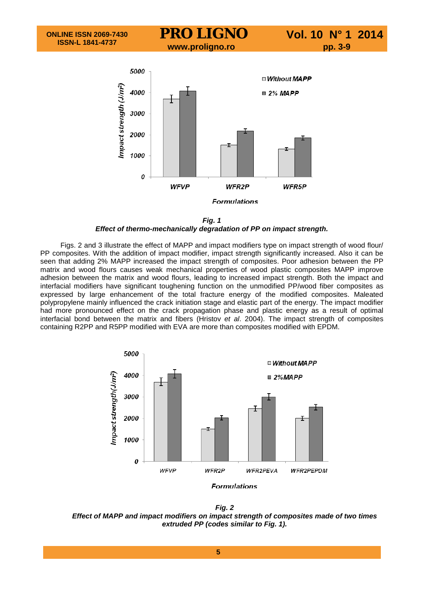

*Fig. 1*

### *Effect of thermo-mechanically degradation of PP on impact strength.*

Figs. 2 and 3 illustrate the effect of MAPP and impact modifiers type on impact strength of wood flour/ PP composites. With the addition of impact modifier, impact strength significantly increased. Also it can be seen that adding 2% MAPP increased the impact strength of composites. Poor adhesion between the PP matrix and wood flours causes weak mechanical properties of wood plastic composites MAPP improve adhesion between the matrix and wood flours, leading to increased impact strength. Both the impact and interfacial modifiers have significant toughening function on the unmodified PP/wood fiber composites as expressed by large enhancement of the total fracture energy of the modified composites. Maleated polypropylene mainly influenced the crack initiation stage and elastic part of the energy. The impact modifier had more pronounced effect on the crack propagation phase and plastic energy as a result of optimal interfacial bond between the matrix and fibers (Hristov *et al*. 2004). The impact strength of composites containing R2PP and R5PP modified with EVA are more than composites modified with EPDM.



*Fig. 2 Effect of MAPP and impact modifiers on impact strength of composites made of two times extruded PP (codes similar to Fig. 1).*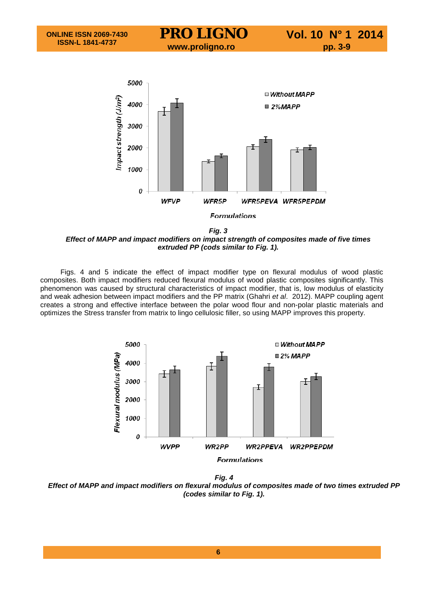

*Fig. 3 Effect of MAPP and impact modifiers on impact strength of composites made of five times extruded PP (cods similar to Fig. 1).*

Figs. 4 and 5 indicate the effect of impact modifier type on flexural modulus of wood plastic composites. Both impact modifiers reduced flexural modulus of wood plastic composites significantly. This phenomenon was caused by structural characteristics of impact modifier, that is, low modulus of elasticity and weak adhesion between impact modifiers and the PP matrix (Ghahri *et al*. 2012). MAPP coupling agent creates a strong and effective interface between the polar wood flour and non-polar plastic materials and optimizes the Stress transfer from matrix to lingo cellulosic filler, so using MAPP improves this property.



*Fig. 4 Effect of MAPP and impact modifiers on flexural modulus of composites made of two times extruded PP (codes similar to Fig. 1).*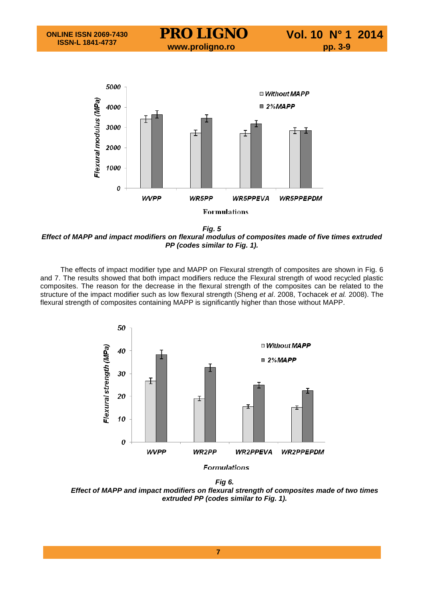

*Fig. 5 Effect of MAPP and impact modifiers on flexural modulus of composites made of five times extruded PP (codes similar to Fig. 1).*

The effects of impact modifier type and MAPP on Flexural strength of composites are shown in Fig. 6 and 7. The results showed that both impact modifiers reduce the Flexural strength of wood recycled plastic composites. The reason for the decrease in the flexural strength of the composites can be related to the structure of the impact modifier such as low flexural strength (Sheng *et al*. 2008, Tochacek *et al.* 2008). The flexural strength of composites containing MAPP is significantly higher than those without MAPP.



*Fig 6. Effect of MAPP and impact modifiers on flexural strength of composites made of two times extruded PP (codes similar to Fig. 1).*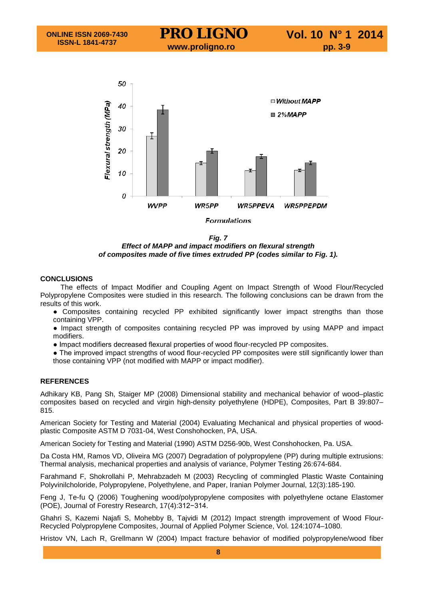

*Fig. 7 Effect of MAPP and impact modifiers on flexural strength of composites made of five times extruded PP (codes similar to Fig. 1).*

## **CONCLUSIONS**

The effects of Impact Modifier and Coupling Agent on Impact Strength of Wood Flour/Recycled Polypropylene Composites were studied in this research. The following conclusions can be drawn from the results of this work.

- Composites containing recycled PP exhibited significantly lower impact strengths than those containing VPP.
- Impact strength of composites containing recycled PP was improved by using MAPP and impact modifiers.
- Impact modifiers decreased flexural properties of wood flour-recycled PP composites.

• The improved impact strengths of wood flour-recycled PP composites were still significantly lower than those containing VPP (not modified with MAPP or impact modifier).

## **REFERENCES**

Adhikary KB, Pang Sh, Staiger MP (2008) Dimensional stability and mechanical behavior of wood–plastic composites based on recycled and virgin high-density polyethylene (HDPE), Composites, Part B 39:807– 815.

American Society for Testing and Material (2004) Evaluating Mechanical and physical properties of woodplastic Composite ASTM D 7031-04, West Conshohocken, PA, USA.

American Society for Testing and Material (1990) ASTM D256-90b, West Conshohocken, Pa. USA.

Da Costa HM, Ramos VD, Oliveira MG (2007) Degradation of polypropylene (PP) during multiple extrusions: Thermal analysis, mechanical properties and analysis of variance, Polymer Testing 26:674-684.

Farahmand F, Shokrollahi P, Mehrabzadeh M (2003) Recycling of commingled Plastic Waste Containing Polyvinilcholoride, Polypropylene, Polyethylene, and Paper, Iranian Polymer Journal, 12(3):185-190.

Feng J, Te-fu Q (2006) Toughening wood/polypropylene composites with polyethylene octane Elastomer (POE), Journal of Forestry Research, 17(4):312−314.

Ghahri S, Kazemi Najafi S, Mohebby B, Tajvidi M (2012) Impact strength improvement of Wood Flour-Recycled Polypropylene Composites, Journal of Applied Polymer Science, Vol. 124:1074–1080.

Hristov VN, Lach R, Grellmann W (2004) Impact fracture behavior of modified polypropylene/wood fiber